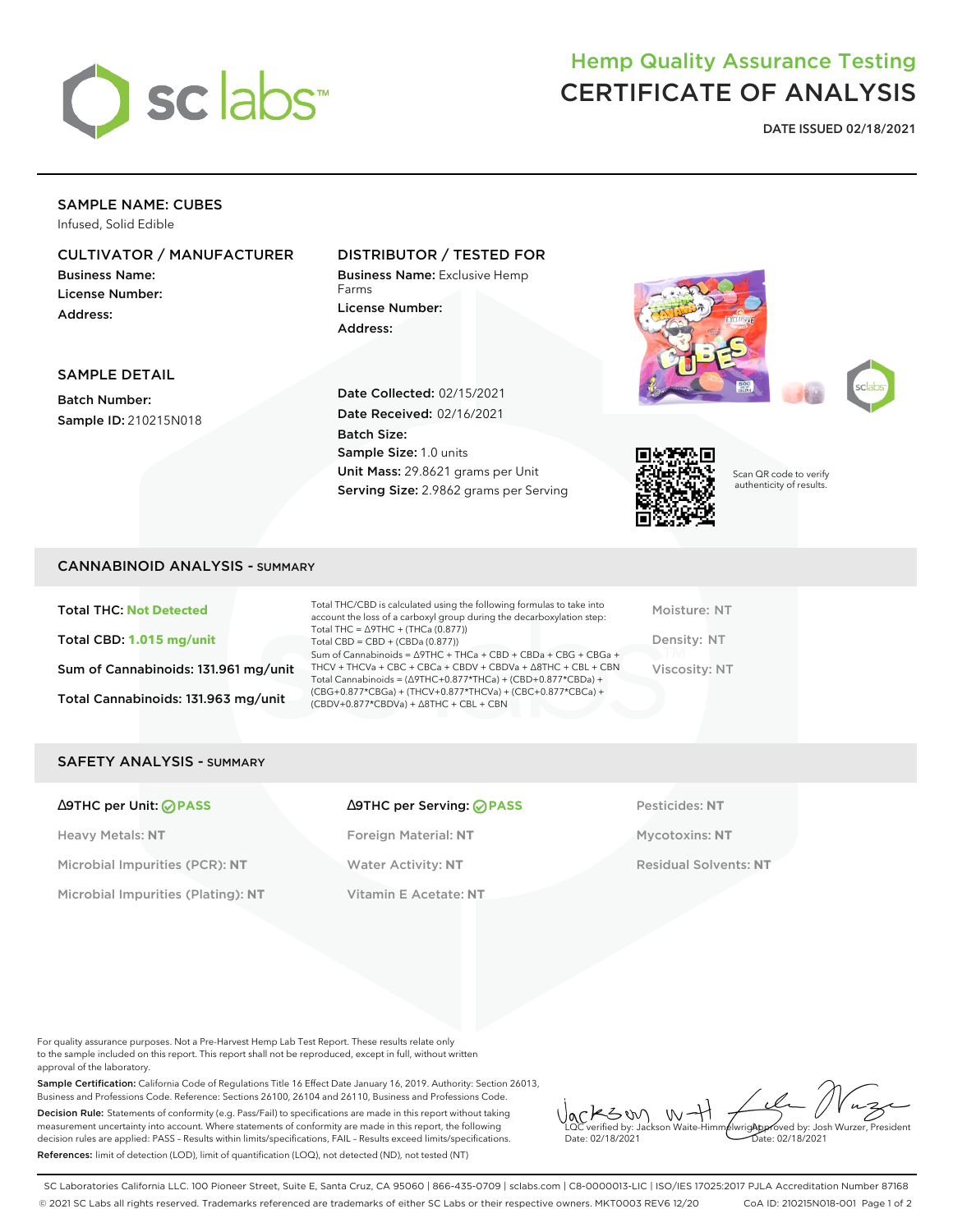

### Hemp Quality Assurance Testing CERTIFICATE OF ANALYSIS

**DATE ISSUED 02/18/2021**

#### SAMPLE NAME: CUBES

Infused, Solid Edible

#### CULTIVATOR / MANUFACTURER

Business Name: License Number: Address:

#### DISTRIBUTOR / TESTED FOR

Business Name: Exclusive Hemp Farms License Number: Address:



SAMPLE DETAIL

Batch Number: Sample ID: 210215N018 Date Collected: 02/15/2021 Date Received: 02/16/2021 Batch Size: Sample Size: 1.0 units Unit Mass: 29.8621 grams per Unit Serving Size: 2.9862 grams per Serving



Scan QR code to verify authenticity of results.

#### CANNABINOID ANALYSIS - SUMMARY

Total THC: **Not Detected** Total CBD: **1.015 mg/unit** Sum of Cannabinoids: 131.961 mg/unit Total Cannabinoids: 131.963 mg/unit

Total THC/CBD is calculated using the following formulas to take into account the loss of a carboxyl group during the decarboxylation step: Total THC = ∆9THC + (THCa (0.877)) Total CBD = CBD + (CBDa (0.877)) Sum of Cannabinoids = ∆9THC + THCa + CBD + CBDa + CBG + CBGa + THCV + THCVa + CBC + CBCa + CBDV + CBDVa + ∆8THC + CBL + CBN Total Cannabinoids = (∆9THC+0.877\*THCa) + (CBD+0.877\*CBDa) + (CBG+0.877\*CBGa) + (THCV+0.877\*THCVa) + (CBC+0.877\*CBCa) + (CBDV+0.877\*CBDVa) + ∆8THC + CBL + CBN

Moisture: NT Density: NT Viscosity: NT

#### SAFETY ANALYSIS - SUMMARY

Heavy Metals: **NT** Foreign Material: **NT** Mycotoxins: **NT** Microbial Impurities (PCR): **NT** Water Activity: **NT** Residual Solvents: **NT** Microbial Impurities (Plating): **NT** Vitamin E Acetate: **NT**

# ∆9THC per Unit: **PASS** ∆9THC per Serving: **PASS** Pesticides: **NT**

For quality assurance purposes. Not a Pre-Harvest Hemp Lab Test Report. These results relate only to the sample included on this report. This report shall not be reproduced, except in full, without written approval of the laboratory.

Sample Certification: California Code of Regulations Title 16 Effect Date January 16, 2019. Authority: Section 26013, Business and Professions Code. Reference: Sections 26100, 26104 and 26110, Business and Professions Code. Decision Rule: Statements of conformity (e.g. Pass/Fail) to specifications are made in this report without taking measurement uncertainty into account. Where statements of conformity are made in this report, the following decision rules are applied: PASS – Results within limits/specifications, FAIL – Results exceed limits/specifications. References: limit of detection (LOD), limit of quantification (LOQ), not detected (ND), not tested (NT)

 $W + 1$ KSW Approved by: Josh Wurzer, President LQC verified by: Jackson Waite-Himmelwright Date: 02/18/2021 Date: 02/18/2021

SC Laboratories California LLC. 100 Pioneer Street, Suite E, Santa Cruz, CA 95060 | 866-435-0709 | sclabs.com | C8-0000013-LIC | ISO/IES 17025:2017 PJLA Accreditation Number 87168 © 2021 SC Labs all rights reserved. Trademarks referenced are trademarks of either SC Labs or their respective owners. MKT0003 REV6 12/20 CoA ID: 210215N018-001 Page 1 of 2